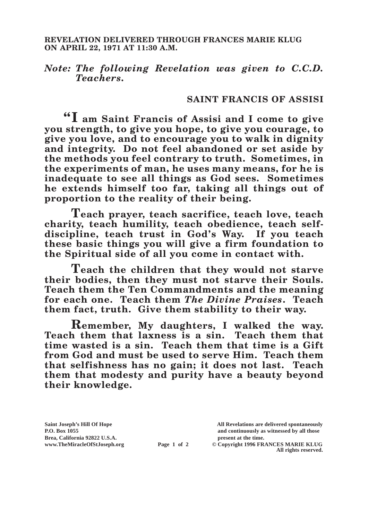## *Note: The following Revelation was given to C.C.D. Teachers.*

## **SAINT FRANCIS OF ASSISI**

**"I am Saint Francis of Assisi and I come to give you strength, to give you hope, to give you courage, to give you love, and to encourage you to walk in dignity and integrity. Do not feel abandoned or set aside by the methods you feel contrary to truth. Sometimes, in the experiments of man, he uses many means, for he is inadequate to see all things as God sees. Sometimes he extends himself too far, taking all things out of proportion to the reality of their being.**

**Teach prayer, teach sacrifice, teach love, teach charity, teach humility, teach obedience, teach selfdiscipline, teach trust in God's Way. If you teach these basic things you will give a firm foundation to the Spiritual side of all you come in contact with.**

**Teach the children that they would not starve their bodies, then they must not starve their Souls. Teach them the Ten Commandments and the meaning for each one. Teach them** *The Divine Praises***. Teach them fact, truth. Give them stability to their way.**

**Remember, My daughters, I walked the way. Teach them that laxness is a sin. Teach them that time wasted is a sin. Teach them that time is a Gift from God and must be used to serve Him. Teach them that selfishness has no gain; it does not last. Teach them that modesty and purity have a beauty beyond their knowledge.**

**Saint Joseph's Hill Of Hope All Revelations are delivered spontaneously P.O. Box 1055 and continuously as witnessed by all those** 

**Page 1 of 2** © Copyright 1996 FRANCES MARIE KLUG **All rights reserved.**